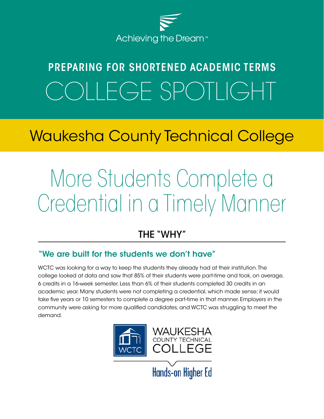

# PREPARING FOR SHORTENED ACADEMIC TERMS OLLEGE SPOTLIGHT

# Waukesha County Technical College

# More Students Complete a Credential in a Timely Manner

## THE "WHY"

#### "We are built for the students we don't have"

WCTC was looking for a way to keep the students they already had at their institution. The college looked at data and saw that 85% of their students were part-time and took, on average, 6 credits in a 16-week semester. Less than 6% of their students completed 30 credits in an academic year. Many students were not completing a credential, which made sense; it would take five years or 10 semesters to complete a degree part-time in that manner. Employers in the community were asking for more qualified candidates, and WCTC was struggling to meet the demand.

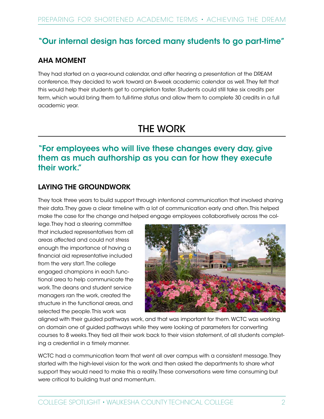#### "Our internal design has forced many students to go part-time"

#### AHA MOMENT

They had started on a year-round calendar, and after hearing a presentation at the DREAM conference, they decided to work toward an 8-week academic calendar as well. They felt that this would help their students get to completion faster. Students could still take six credits per term, which would bring them to full-time status and allow them to complete 30 credits in a full academic year.

### THE WORK

#### "For employees who will live these changes every day, give them as much authorship as you can for how they execute their work."

#### LAYING THE GROUNDWORK

They took three years to build support through intentional communication that involved sharing their data. They gave a clear timeline with a lot of communication early and often. This helped make the case for the change and helped engage employees collaboratively across the col-

lege. They had a steering committee that included representatives from all areas affected and could not stress enough the importance of having a financial aid representative included from the very start. The college engaged champions in each functional area to help communicate the work. The deans and student service managers ran the work, created the structure in the functional areas, and selected the people. This work was



aligned with their guided pathways work, and that was important for them. WCTC was working on domain one of guided pathways while they were looking at parameters for converting courses to 8 weeks. They tied all their work back to their vision statement, of all students completing a credential in a timely manner.

WCTC had a communication team that went all over campus with a consistent message. They started with the high-level vision for the work and then asked the departments to share what support they would need to make this a reality. These conversations were time consuming but were critical to building trust and momentum.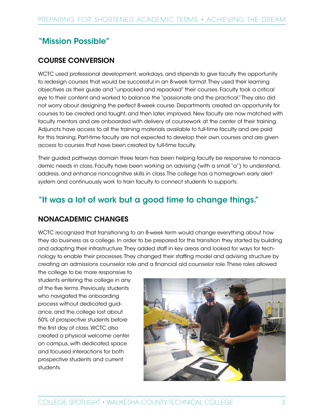#### "Mission Possible"

#### COURSE CONVERSION

WCTC used professional development, workdays, and stipends to give faculty the opportunity to redesign courses that would be successful in an 8-week format. They used their learning objectives as their guide and "unpacked and repacked" their courses. Faculty took a critical eye to their content and worked to balance the "passionate and the practical." They also did not worry about designing the perfect 8-week course. Departments created an opportunity for courses to be created and taught, and then later, improved. New faculty are now matched with faculty mentors and are onboarded with delivery of coursework at the center of their training. Adjuncts have access to all the training materials available to full-time faculty and are paid for this training. Part-time faculty are not expected to develop their own courses and are given access to courses that have been created by full-time faculty.

Their guided pathways domain three team has been helping faculty be responsive to nonacademic needs in class. Faculty have been working on advising (with a small "a") to understand, address, and enhance noncognitive skills in class. The college has a homegrown early alert system and continuously work to train faculty to connect students to supports.

#### "It was a lot of work but a good time to change things."

#### NONACADEMIC CHANGES

WCTC recognized that transitioning to an 8-week term would change everything about how they do business as a college. In order to be prepared for this transition they started by building and adapting their infrastructure. They added staff in key areas and looked for ways for technology to enable their processes. They changed their staffing model and advising structure by creating an admissions counselor role and a financial aid counselor role. These roles allowed

the college to be more responsive to students entering the college in any of the five terms. Previously, students who navigated the onboarding process without dedicated guidance, and the college lost about 50% of prospective students before the first day of class. WCTC also created a physical welcome center on campus, with dedicated space and focused interactions for both prospective students and current students.